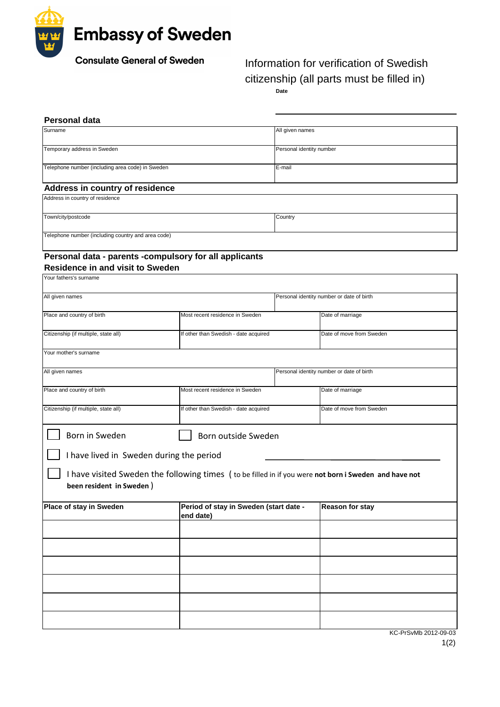

**Consulate General of Sweden** 

 Information for verification of Swedish **Date** citizenship (all parts must be filled in)

| <b>Personal data</b>                                                                                   |                                                     |                          |                                           |  |
|--------------------------------------------------------------------------------------------------------|-----------------------------------------------------|--------------------------|-------------------------------------------|--|
| Surname                                                                                                |                                                     | All given names          |                                           |  |
| Temporary address in Sweden                                                                            |                                                     | Personal identity number |                                           |  |
| Telephone number (including area code) in Sweden                                                       |                                                     | E-mail                   |                                           |  |
| Address in country of residence                                                                        |                                                     |                          |                                           |  |
| Address in country of residence                                                                        |                                                     |                          |                                           |  |
| Town/city/postcode                                                                                     |                                                     | Country                  |                                           |  |
| Telephone number (including country and area code)                                                     |                                                     |                          |                                           |  |
| Personal data - parents -compulsory for all applicants                                                 |                                                     |                          |                                           |  |
| <b>Residence in and visit to Sweden</b>                                                                |                                                     |                          |                                           |  |
| Your fathers's surname                                                                                 |                                                     |                          |                                           |  |
| All given names                                                                                        |                                                     |                          | Personal identity number or date of birth |  |
| Place and country of birth                                                                             | Most recent residence in Sweden                     |                          | Date of marriage                          |  |
| Citizenship (if multiple, state all)                                                                   | If other than Swedish - date acquired               |                          | Date of move from Sweden                  |  |
| Your mother's surname                                                                                  |                                                     |                          |                                           |  |
| All given names                                                                                        |                                                     |                          | Personal identity number or date of birth |  |
| Place and country of birth                                                                             | Most recent residence in Sweden                     |                          | Date of marriage                          |  |
| Citizenship (if multiple, state all)                                                                   | If other than Swedish - date acquired               |                          | Date of move from Sweden                  |  |
| Born in Sweden<br>Born outside Sweden                                                                  |                                                     |                          |                                           |  |
| I have lived in Sweden during the period                                                               |                                                     |                          |                                           |  |
| I have visited Sweden the following times ( to be filled in if you were not born i Sweden and have not |                                                     |                          |                                           |  |
| been resident in Sweden)                                                                               |                                                     |                          |                                           |  |
| Place of stay in Sweden                                                                                | Period of stay in Sweden (start date -<br>end date) |                          | Reason for stay                           |  |
|                                                                                                        |                                                     |                          |                                           |  |
|                                                                                                        |                                                     |                          |                                           |  |
|                                                                                                        |                                                     |                          |                                           |  |
|                                                                                                        |                                                     |                          |                                           |  |
|                                                                                                        |                                                     |                          |                                           |  |
|                                                                                                        |                                                     |                          |                                           |  |

KC-PrSvMb 2012-09-03